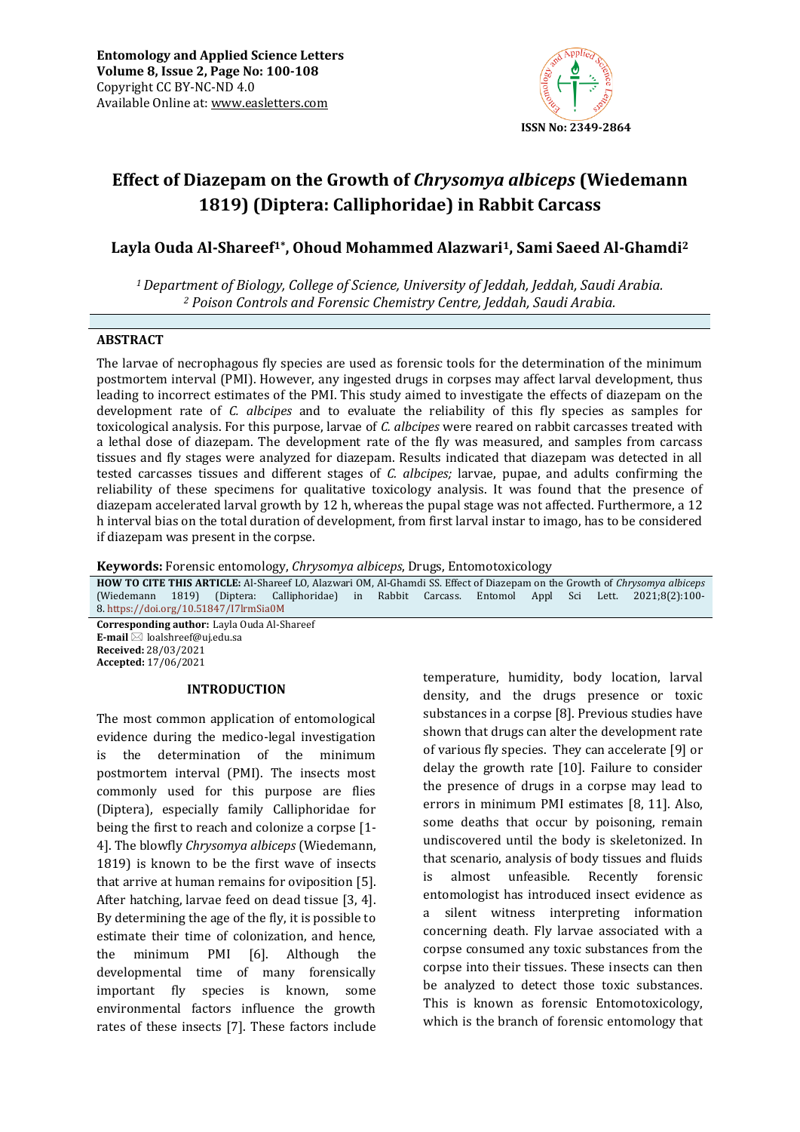

# **Effect of Diazepam on the Growth of** *Chrysomya albiceps* **(Wiedemann 1819) (Diptera: Calliphoridae) in Rabbit Carcass**

# **Layla Ouda Al-Shareef1\* , Ohoud Mohammed Alazwari1, Sami Saeed Al-Ghamdi<sup>2</sup>**

*<sup>1</sup>Department of Biology, College of Science, University of Jeddah, Jeddah, Saudi Arabia. <sup>2</sup> Poison Controls and Forensic Chemistry Centre, Jeddah, Saudi Arabia.*

# **ABSTRACT**

The larvae of necrophagous fly species are used as forensic tools for the determination of the minimum postmortem interval (PMI). However, any ingested drugs in corpses may affect larval development, thus leading to incorrect estimates of the PMI. This study aimed to investigate the effects of diazepam on the development rate of *C. albcipes* and to evaluate the reliability of this fly species as samples for toxicological analysis. For this purpose, larvae of *C. albcipes* were reared on rabbit carcasses treated with a lethal dose of diazepam. The development rate of the fly was measured, and samples from carcass tissues and fly stages were analyzed for diazepam. Results indicated that diazepam was detected in all tested carcasses tissues and different stages of *C. albcipes;* larvae, pupae, and adults confirming the reliability of these specimens for qualitative toxicology analysis. It was found that the presence of diazepam accelerated larval growth by 12 h, whereas the pupal stage was not affected. Furthermore, a 12 h interval bias on the total duration of development, from first larval instar to imago, has to be considered if diazepam was present in the corpse.

**Keywords:** Forensic entomology, *Chrysomya albiceps*, Drugs, Entomotoxicology

**HOW TO CITE THIS ARTICLE:** Al-Shareef LO, Alazwari OM, Al-Ghamdi SS. Effect of Diazepam on the Growth of *Chrysomya albiceps* (Wiedemann 1819) (Diptera: Calliphoridae) in Rabbit Carcass. Entomol Appl Sci Lett. 2021;8(2):100- 8. <https://doi.org/10.51847/I7lrmSia0M> **Corresponding author:** Layla Ouda Al-Shareef

**E-mail** ⊠ loalshreef@uj.edu.sa **Received:** 28/03/2021 **Accepted:** 17/06/2021

#### **INTRODUCTION**

The most common application of entomological evidence during the medico-legal investigation is the determination of the minimum postmortem interval (PMI). The insects most commonly used for this purpose are flies (Diptera), especially family Calliphoridae for being the first to reach and colonize a corpse [1- 4]. The blowfly *Chrysomya albiceps* (Wiedemann, 1819) is known to be the first wave of insects that arrive at human remains for oviposition [5]. After hatching, larvae feed on dead tissue [3, 4]. By determining the age of the fly, it is possible to estimate their time of colonization, and hence, the minimum PMI [6]. Although the developmental time of many forensically important fly species is known, some environmental factors influence the growth rates of these insects [7]. These factors include

temperature, humidity, body location, larval density, and the drugs presence or toxic substances in a corpse [8]. Previous studies have shown that drugs can alter the development rate of various fly species. They can accelerate [9] or delay the growth rate [10]. Failure to consider the presence of drugs in a corpse may lead to errors in minimum PMI estimates [8, 11]. Also, some deaths that occur by poisoning, remain undiscovered until the body is skeletonized. In that scenario, analysis of body tissues and fluids is almost unfeasible. Recently forensic entomologist has introduced insect evidence as a silent witness interpreting information concerning death. Fly larvae associated with a corpse consumed any toxic substances from the corpse into their tissues. These insects can then be analyzed to detect those toxic substances. This is known as forensic Entomotoxicology, which is the branch of forensic entomology that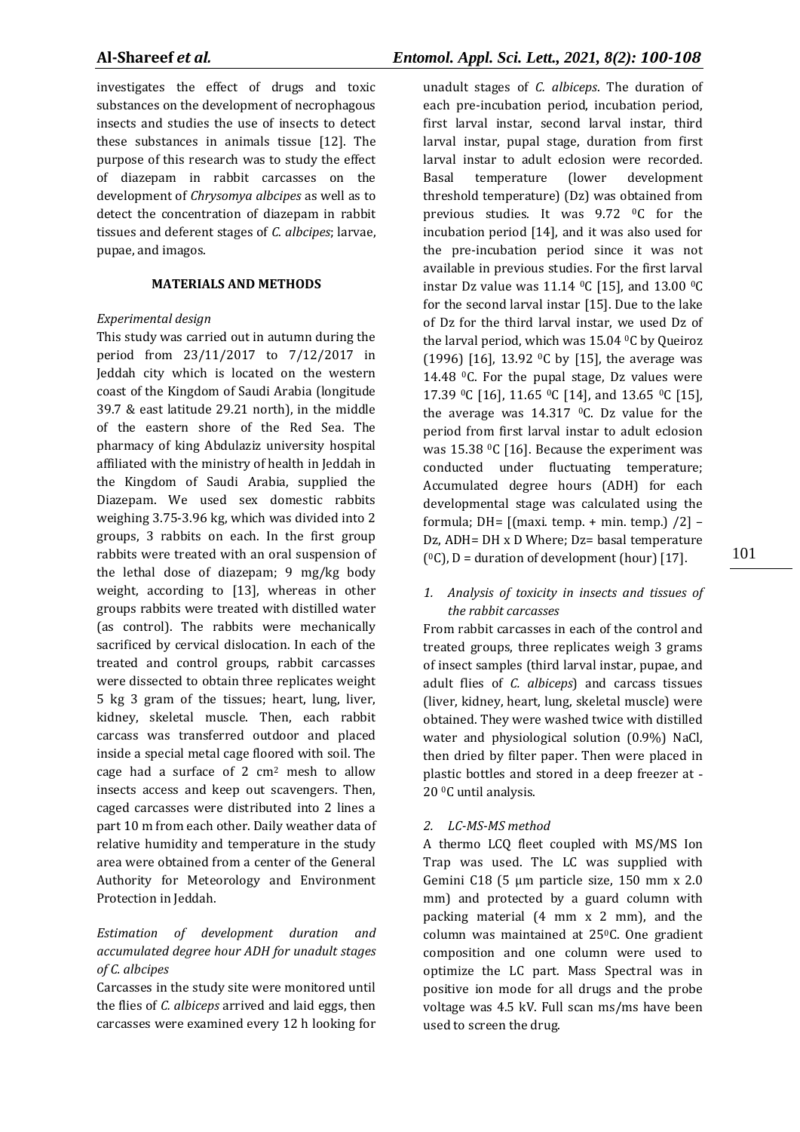investigates the effect of drugs and toxic substances on the development of necrophagous insects and studies the use of insects to detect these substances in animals tissue [12]. The purpose of this research was to study the effect of diazepam in rabbit carcasses on the development of *Chrysomya albcipes* as well as to detect the concentration of diazepam in rabbit tissues and deferent stages of *C. albcipes*; larvae, pupae, and imagos.

# **MATERIALS AND METHODS**

# *Experimental design*

This study was carried out in autumn during the period from 23/11/2017 to 7/12/2017 in Jeddah city which is located on the western coast of the Kingdom of Saudi Arabia (longitude 39.7 & east latitude 29.21 north), in the middle of the eastern shore of the Red Sea. The pharmacy of king Abdulaziz university hospital affiliated with the ministry of health in Jeddah in the Kingdom of Saudi Arabia, supplied the Diazepam. We used sex domestic rabbits weighing 3.75-3.96 kg, which was divided into 2 groups, 3 rabbits on each. In the first group rabbits were treated with an oral suspension of the lethal dose of diazepam; 9 mg/kg body weight, according to [13], whereas in other groups rabbits were treated with distilled water (as control). The rabbits were mechanically sacrificed by cervical dislocation. In each of the treated and control groups, rabbit carcasses were dissected to obtain three replicates weight 5 kg 3 gram of the tissues; heart, lung, liver, kidney, skeletal muscle. Then, each rabbit carcass was transferred outdoor and placed inside a special metal cage floored with soil. The cage had a surface of 2 cm<sup>2</sup> mesh to allow insects access and keep out scavengers. Then, caged carcasses were distributed into 2 lines a part 10 m from each other. Daily weather data of relative humidity and temperature in the study area were obtained from a center of the General Authority for Meteorology and Environment Protection in Jeddah.

# *Estimation of development duration and accumulated degree hour ADH for unadult stages of C. albcipes*

Carcasses in the study site were monitored until the flies of *C. albiceps* arrived and laid eggs, then carcasses were examined every 12 h looking for

unadult stages of *C. albiceps*. The duration of each pre-incubation period, incubation period, first larval instar, second larval instar, third larval instar, pupal stage, duration from first larval instar to adult eclosion were recorded. Basal temperature (lower development threshold temperature) (Dz) was obtained from previous studies. It was 9.72 °C for the incubation period [14], and it was also used for the pre-incubation period since it was not available in previous studies. For the first larval instar Dz value was 11.14 <sup>o</sup>C [15], and 13.00 <sup>o</sup>C for the second larval instar [15]. Due to the lake of Dz for the third larval instar, we used Dz of the larval period, which was  $15.04$  °C by Queiroz (1996) [16], 13.92 <sup>o</sup>C by [15], the average was 14.48  $^0$ C. For the pupal stage, Dz values were 17.39 0C [16], 11.65 0C [14], and 13.65 0C [15], the average was  $14.317$  °C. Dz value for the period from first larval instar to adult eclosion was 15.38  $°C$  [16]. Because the experiment was conducted under fluctuating temperature; Accumulated degree hours (ADH) for each developmental stage was calculated using the formula; DH=  $[(maxi. temp. + min. temp.) /2]$  -Dz, ADH= DH x D Where; Dz= basal temperature  $(°C)$ , D = duration of development (hour) [17].

# *1. Analysis of toxicity in insects and tissues of the rabbit carcasses*

From rabbit carcasses in each of the control and treated groups, three replicates weigh 3 grams of insect samples (third larval instar, pupae, and adult flies of *C. albiceps*) and carcass tissues (liver, kidney, heart, lung, skeletal muscle) were obtained. They were washed twice with distilled water and physiological solution (0.9%) NaCl, then dried by filter paper. Then were placed in plastic bottles and stored in a deep freezer at - 20 0C until analysis.

# *2. LC-MS-MS method*

A thermo LCQ fleet coupled with MS/MS Ion Trap was used. The LC was supplied with Gemini C18 (5 µm particle size, 150 mm x 2.0 mm) and protected by a guard column with packing material (4 mm x 2 mm), and the column was maintained at 25<sup>o</sup>C. One gradient composition and one column were used to optimize the LC part. Mass Spectral was in positive ion mode for all drugs and the probe voltage was 4.5 kV. Full scan ms/ms have been used to screen the drug.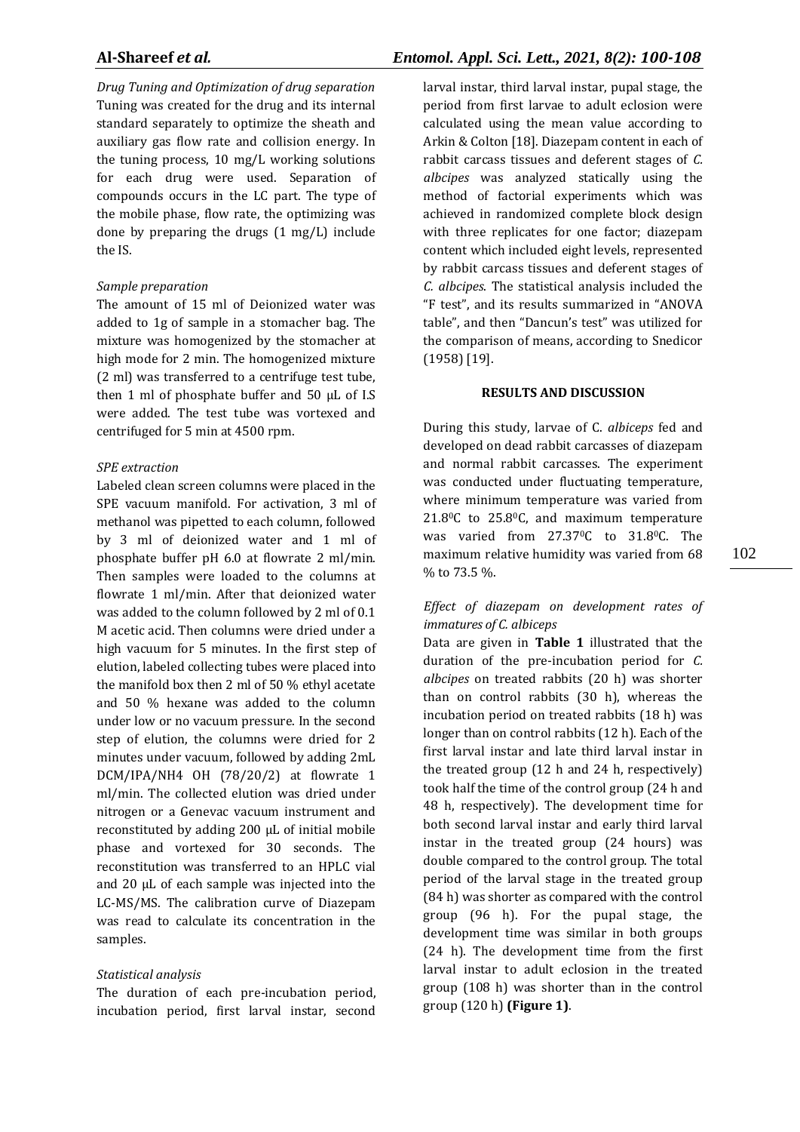*Drug Tuning and Optimization of drug separation* Tuning was created for the drug and its internal standard separately to optimize the sheath and auxiliary gas flow rate and collision energy. In the tuning process, 10 mg/L working solutions for each drug were used. Separation of compounds occurs in the LC part. The type of the mobile phase, flow rate, the optimizing was done by preparing the drugs (1 mg/L) include the IS.

#### *Sample preparation*

The amount of 15 ml of Deionized water was added to 1g of sample in a stomacher bag. The mixture was homogenized by the stomacher at high mode for 2 min. The homogenized mixture (2 ml) was transferred to a centrifuge test tube, then 1 ml of phosphate buffer and 50 µL of I.S were added. The test tube was vortexed and centrifuged for 5 min at 4500 rpm.

#### *SPE extraction*

Labeled clean screen columns were placed in the SPE vacuum manifold. For activation, 3 ml of methanol was pipetted to each column, followed by 3 ml of deionized water and 1 ml of phosphate buffer pH 6.0 at flowrate 2 ml/min. Then samples were loaded to the columns at flowrate 1 ml/min. After that deionized water was added to the column followed by 2 ml of 0.1 M acetic acid. Then columns were dried under a high vacuum for 5 minutes. In the first step of elution, labeled collecting tubes were placed into the manifold box then 2 ml of 50 % ethyl acetate and 50 % hexane was added to the column under low or no vacuum pressure. In the second step of elution, the columns were dried for 2 minutes under vacuum, followed by adding 2mL DCM/IPA/NH4 OH (78/20/2) at flowrate 1 ml/min. The collected elution was dried under nitrogen or a Genevac vacuum instrument and reconstituted by adding 200 µL of initial mobile phase and vortexed for 30 seconds. The reconstitution was transferred to an HPLC vial and 20 µL of each sample was injected into the LC-MS/MS. The calibration curve of Diazepam was read to calculate its concentration in the samples.

#### *Statistical analysis*

The duration of each pre-incubation period, incubation period, first larval instar, second larval instar, third larval instar, pupal stage, the period from first larvae to adult eclosion were calculated using the mean value according to Arkin & Colton [18]. Diazepam content in each of rabbit carcass tissues and deferent stages of *C. albcipes* was analyzed statically using the method of factorial experiments which was achieved in randomized complete block design with three replicates for one factor; diazepam content which included eight levels, represented by rabbit carcass tissues and deferent stages of *C. albcipes*. The statistical analysis included the "F test", and its results summarized in "ANOVA table", and then "Dancun's test" was utilized for the comparison of means, according to Snedicor (1958) [19].

### **RESULTS AND DISCUSSION**

During this study, larvae of C. *albiceps* fed and developed on dead rabbit carcasses of diazepam and normal rabbit carcasses. The experiment was conducted under fluctuating temperature, where minimum temperature was varied from 21.80C to 25.80C, and maximum temperature was varied from 27.370C to 31.80C. The maximum relative humidity was varied from 68 % to 73.5 %.

# *Effect of diazepam on development rates of immatures of C. albiceps*

Data are given in **Table 1** illustrated that the duration of the pre-incubation period for *C. albcipes* on treated rabbits (20 h) was shorter than on control rabbits (30 h), whereas the incubation period on treated rabbits (18 h) was longer than on control rabbits (12 h). Each of the first larval instar and late third larval instar in the treated group (12 h and 24 h, respectively) took half the time of the control group (24 h and 48 h, respectively). The development time for both second larval instar and early third larval instar in the treated group (24 hours) was double compared to the control group. The total period of the larval stage in the treated group (84 h) was shorter as compared with the control group (96 h). For the pupal stage, the development time was similar in both groups (24 h). The development time from the first larval instar to adult eclosion in the treated group (108 h) was shorter than in the control group (120 h) **(Figure 1)**.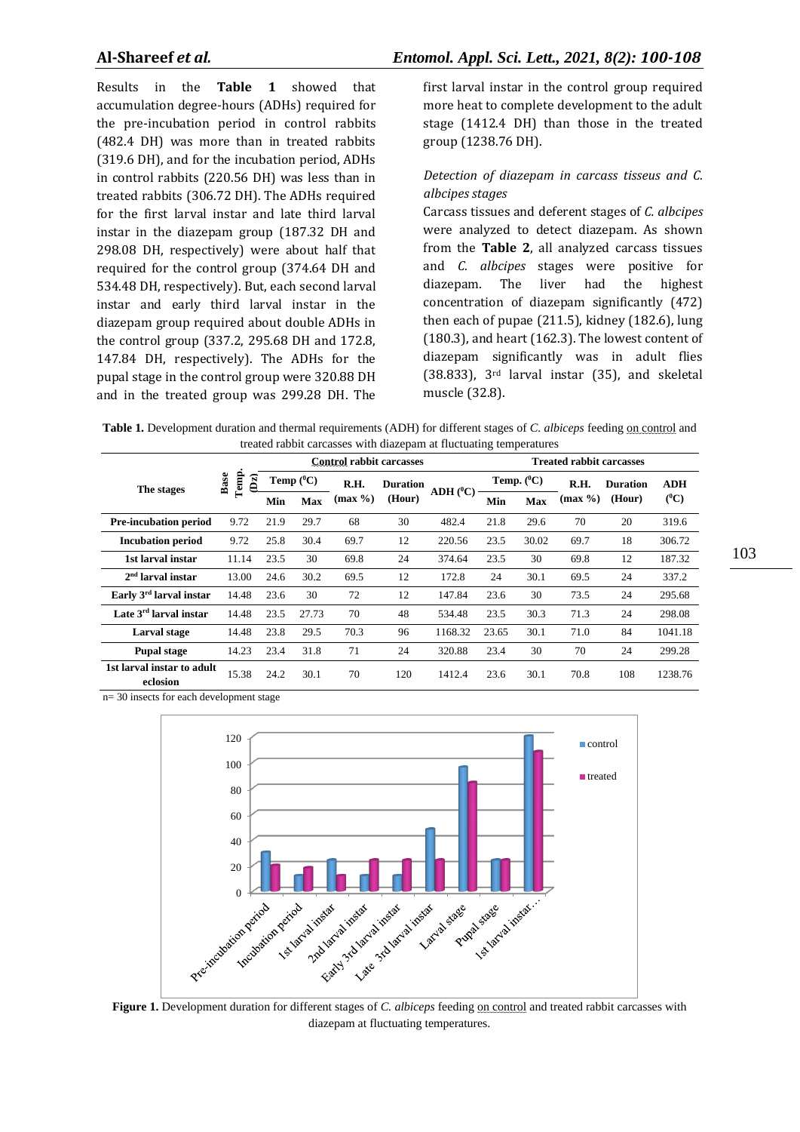Results in the **Table 1** showed that accumulation degree-hours (ADHs) required for the pre-incubation period in control rabbits (482.4 DH) was more than in treated rabbits (319.6 DH), and for the incubation period, ADHs in control rabbits (220.56 DH) was less than in treated rabbits (306.72 DH). The ADHs required for the first larval instar and late third larval instar in the diazepam group (187.32 DH and 298.08 DH, respectively) were about half that required for the control group (374.64 DH and 534.48 DH, respectively). But, each second larval instar and early third larval instar in the diazepam group required about double ADHs in the control group (337.2, 295.68 DH and 172.8, 147.84 DH, respectively). The ADHs for the pupal stage in the control group were 320.88 DH and in the treated group was 299.28 DH. The first larval instar in the control group required more heat to complete development to the adult stage (1412.4 DH) than those in the treated group (1238.76 DH).

# *Detection of diazepam in carcass tisseus and C. albcipes stages*

Carcass tissues and deferent stages of *C. albcipes* were analyzed to detect diazepam. As shown from the **Table 2**, all analyzed carcass tissues and *C. albcipes* stages were positive for diazepam. The liver had the highest concentration of diazepam significantly (472) then each of pupae (211.5), kidney (182.6), lung (180.3), and heart (162.3). The lowest content of diazepam significantly was in adult flies (38.833), 3rd larval instar (35), and skeletal muscle (32.8).

**Table 1 .** Development duration and thermal requirements (ADH) for different stages of *C. albiceps* feeding on control and treated rabbit carcasses with diazepam at fluctuating temperatures

|                                        |                                                |      | <b>Control rabbit carcasses</b> |                |                           |              | <b>Treated rabbit carcasses</b> |       |         |                 |            |
|----------------------------------------|------------------------------------------------|------|---------------------------------|----------------|---------------------------|--------------|---------------------------------|-------|---------|-----------------|------------|
| The stages                             | Temp.<br><b>Base</b><br>$\mathbf{D}\mathbf{z}$ |      | Temp $(^0C)$                    | R.H.<br>(max % | <b>Duration</b><br>(Hour) | $ADH(^{0}C)$ | Temp. $(^{0}C)$                 |       | R.H.    | <b>Duration</b> | <b>ADH</b> |
|                                        |                                                | Min  | Max                             |                |                           |              | Min                             | Max   | (max %) | (Hour)          | $(^0C)$    |
| <b>Pre-incubation period</b>           | 9.72                                           | 21.9 | 29.7                            | 68             | 30                        | 482.4        | 21.8                            | 29.6  | 70      | 20              | 319.6      |
| <b>Incubation period</b>               | 9.72                                           | 25.8 | 30.4                            | 69.7           | 12                        | 220.56       | 23.5                            | 30.02 | 69.7    | 18              | 306.72     |
| 1st larval instar                      | 11.14                                          | 23.5 | 30                              | 69.8           | 24                        | 374.64       | 23.5                            | 30    | 69.8    | 12              | 187.32     |
| $2nd$ larval instar                    | 13.00                                          | 24.6 | 30.2                            | 69.5           | 12                        | 172.8        | 24                              | 30.1  | 69.5    | 24              | 337.2      |
| Early 3 <sup>rd</sup> larval instar    | 14.48                                          | 23.6 | 30                              | 72             | 12                        | 147.84       | 23.6                            | 30    | 73.5    | 24              | 295.68     |
| Late 3 <sup>rd</sup> larval instar     | 14.48                                          | 23.5 | 27.73                           | 70             | 48                        | 534.48       | 23.5                            | 30.3  | 71.3    | 24              | 298.08     |
| Larval stage                           | 14.48                                          | 23.8 | 29.5                            | 70.3           | 96                        | 1168.32      | 23.65                           | 30.1  | 71.0    | 84              | 1041.18    |
| <b>Pupal stage</b>                     | 14.23                                          | 23.4 | 31.8                            | 71             | 24                        | 320.88       | 23.4                            | 30    | 70      | 24              | 299.28     |
| 1st larval instar to adult<br>eclosion | 15.38                                          | 24.2 | 30.1                            | 70             | 120                       | 1412.4       | 23.6                            | 30.1  | 70.8    | 108             | 1238.76    |

n= 30 insects for each development stage



diazepam at fluctuating temperatures.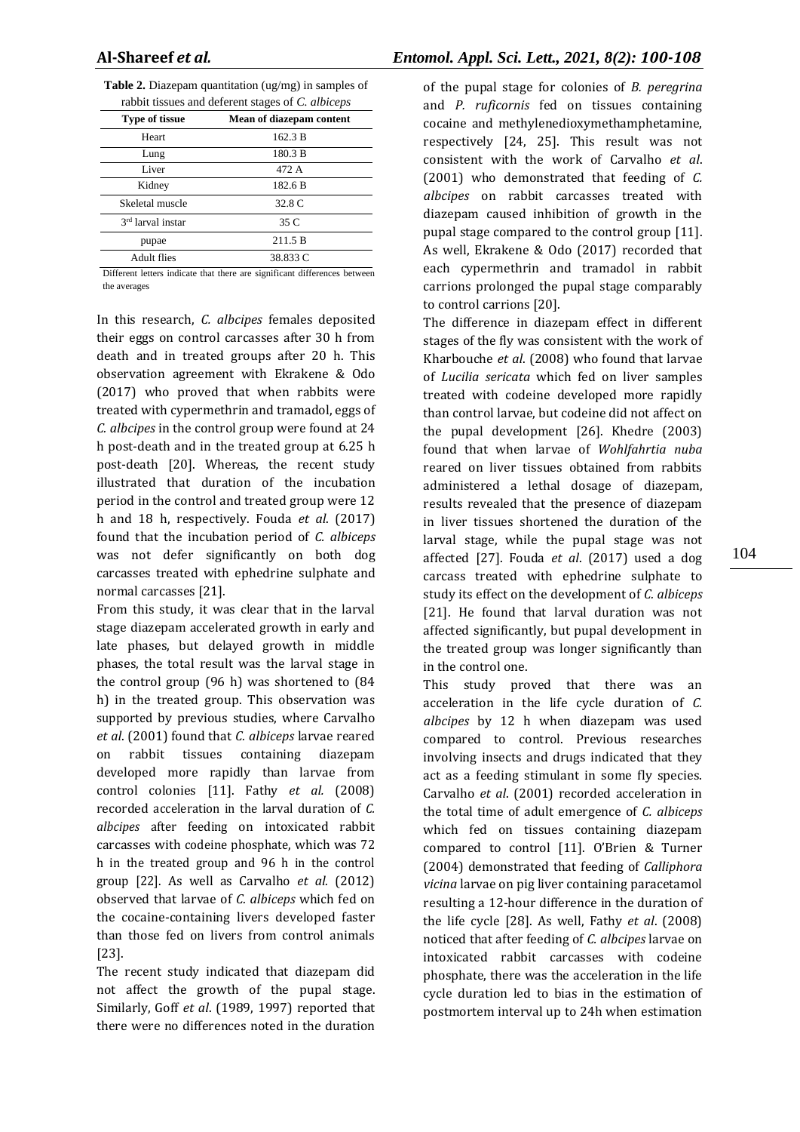| <b>Table 2.</b> Diazepam quantitation $\left(\frac{ug}{mg}\right)$ in samples of |  |
|----------------------------------------------------------------------------------|--|
| rabbit tissues and deferent stages of C. albiceps                                |  |

| raboli issues and deferent stages of C. <i>aloneps</i> |                          |  |  |
|--------------------------------------------------------|--------------------------|--|--|
| <b>Type of tissue</b>                                  | Mean of diazepam content |  |  |
| Heart                                                  | 162.3 B                  |  |  |
| Lung                                                   | 180.3 B                  |  |  |
| Liver                                                  | 472 A                    |  |  |
| Kidney                                                 | 182.6 B                  |  |  |
| Skeletal muscle                                        | 32.8 C                   |  |  |
| 3 <sup>rd</sup> larval instar                          | 35 C                     |  |  |
| pupae                                                  | 211.5 B                  |  |  |
| <b>Adult flies</b>                                     | 38.833 C                 |  |  |

Different letters indicate that there are significant differences between the averages

In this research, *C. albcipes* females deposited their eggs on control carcasses after 30 h from death and in treated groups after 20 h. This observation agreement with Ekrakene & Odo (2017) who proved that when rabbits were treated with cypermethrin and tramadol, eggs of *C. albcipes* in the control group were found at 24 h post-death and in the treated group at 6.25 h post-death [20]. Whereas, the recent study illustrated that duration of the incubation period in the control and treated group were 12 h and 18 h, respectively. Fouda *et al*. (2017) found that the incubation period of *C. albiceps* was not defer significantly on both dog carcasses treated with ephedrine sulphate and normal carcasses [21].

From this study, it was clear that in the larval stage diazepam accelerated growth in early and late phases, but delayed growth in middle phases, the total result was the larval stage in the control group (96 h) was shortened to (84 h) in the treated group. This observation was supported by previous studies, where Carvalho *et al*. (2001) found that *C. albiceps* larvae reared on rabbit tissues containing diazepam developed more rapidly than larvae from control colonies [11]. Fathy *et al.* (2008) recorded acceleration in the larval duration of *C. albcipes* after feeding on intoxicated rabbit carcasses with codeine phosphate, which was 72 h in the treated group and 96 h in the control group [22]. As well as Carvalho *et al.* (2012) observed that larvae of *C. albiceps* which fed on the cocaine-containing livers developed faster than those fed on livers from control animals [23].

The recent study indicated that diazepam did not affect the growth of the pupal stage. Similarly, Goff *et al*. (1989, 1997) reported that there were no differences noted in the duration

of the pupal stage for colonies of *B. peregrina* and *P. ruficornis* fed on tissues containing cocaine and methylenedioxymethamphetamine, respectively [24, 25]. This result was not consistent with the work of Carvalho *et al*. (2001) who demonstrated that feeding of *C. albcipes* on rabbit carcasses treated with diazepam caused inhibition of growth in the pupal stage compared to the control group [11]. As well, Ekrakene & Odo (2017) recorded that each cypermethrin and tramadol in rabbit carrions prolonged the pupal stage comparably to control carrions [20].

The difference in diazepam effect in different stages of the fly was consistent with the work of Kharbouche *et al*. (2008) who found that larvae of *Lucilia sericata* which fed on liver samples treated with codeine developed more rapidly than control larvae, but codeine did not affect on the pupal development [26]. Khedre (2003) found that when larvae of *Wohlfahrtia nuba* reared on liver tissues obtained from rabbits administered a lethal dosage of diazepam, results revealed that the presence of diazepam in liver tissues shortened the duration of the larval stage, while the pupal stage was not affected [27]. Fouda *et al*. (2017) used a dog carcass treated with ephedrine sulphate to study its effect on the development of *C. albiceps* [21]. He found that larval duration was not affected significantly, but pupal development in the treated group was longer significantly than in the control one.

This study proved that there was an acceleration in the life cycle duration of *C. albcipes* by 12 h when diazepam was used compared to control. Previous researches involving insects and drugs indicated that they act as a feeding stimulant in some fly species. Carvalho *et al*. (2001) recorded acceleration in the total time of adult emergence of *C. albiceps* which fed on tissues containing diazepam compared to control [11]. O'Brien & Turner (2004) demonstrated that feeding of *Calliphora vicina* larvae on pig liver containing paracetamol resulting a 12-hour difference in the duration of the life cycle [28]. As well, Fathy *et al*. (2008) noticed that after feeding of *C. albcipes* larvae on intoxicated rabbit carcasses with codeine phosphate, there was the acceleration in the life cycle duration led to bias in the estimation of postmortem interval up to 24h when estimation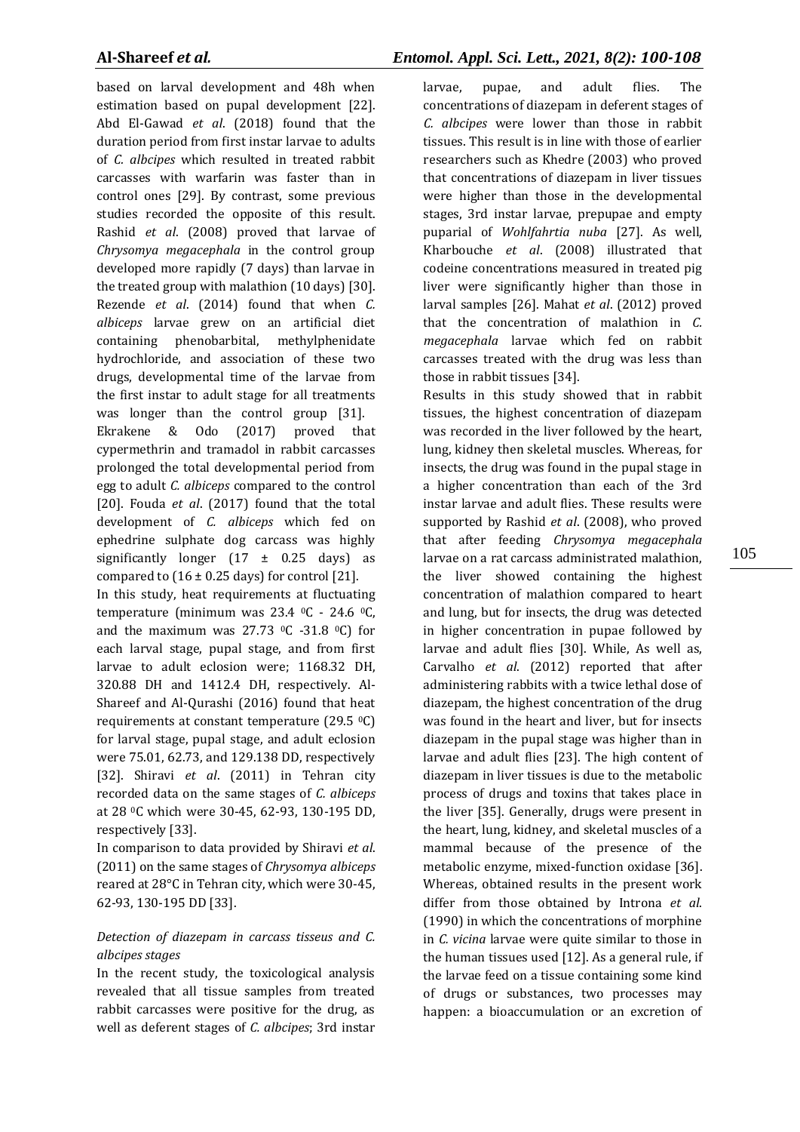based on larval development and 48h when estimation based on pupal development [22]. Abd El-Gawad *et al*. (2018) found that the duration period from first instar larvae to adults of *C. albcipes* which resulted in treated rabbit carcasses with warfarin was faster than in control ones [29]. By contrast, some previous studies recorded the opposite of this result. Rashid *et al*. (2008) proved that larvae of *Chrysomya megacephala* in the control group developed more rapidly (7 days) than larvae in the treated group with malathion (10 days) [30]. Rezende *et al*. (2014) found that when *C. albiceps* larvae grew on an artificial diet containing phenobarbital, methylphenidate hydrochloride, and association of these two drugs, developmental time of the larvae from the first instar to adult stage for all treatments was longer than the control group [31].

Ekrakene & Odo (2017) proved that cypermethrin and tramadol in rabbit carcasses prolonged the total developmental period from egg to adult *C. albiceps* compared to the control [20]. Fouda *et al*. (2017) found that the total development of *C. albiceps* which fed on ephedrine sulphate dog carcass was highly significantly longer  $(17 \pm 0.25 \text{ days})$  as compared to  $(16 \pm 0.25$  days) for control [21].

In this study, heat requirements at fluctuating temperature (minimum was 23.4 0C - 24.6 0C, and the maximum was  $27.73 \text{ }^{\circ}$ C -31.8  $^{\circ}$ C) for each larval stage, pupal stage, and from first larvae to adult eclosion were; 1168.32 DH, 320.88 DH and 1412.4 DH, respectively. Al-Shareef and Al-Qurashi (2016) found that heat requirements at constant temperature (29.5 0C) for larval stage, pupal stage, and adult eclosion were 75.01, 62.73, and 129.138 DD, respectively [32]. Shiravi *et al*. (2011) in Tehran city recorded data on the same stages of *C. albiceps* at 28 0C which were 30-45, 62-93, 130-195 DD, respectively [33].

In comparison to data provided by Shiravi *et al*. (2011) on the same stages of *Chrysomya albiceps* reared at 28°C in Tehran city, which were 30-45, 62-93, 130-195 DD [33].

# *Detection of diazepam in carcass tisseus and C. albcipes stages*

In the recent study, the toxicological analysis revealed that all tissue samples from treated rabbit carcasses were positive for the drug, as well as deferent stages of *C. albcipes*; 3rd instar larvae, pupae, and adult flies. The concentrations of diazepam in deferent stages of *C. albcipes* were lower than those in rabbit tissues. This result is in line with those of earlier researchers such as Khedre (2003) who proved that concentrations of diazepam in liver tissues were higher than those in the developmental stages, 3rd instar larvae, prepupae and empty puparial of *Wohlfahrtia nuba* [27]. As well, Kharbouche *et al*. (2008) illustrated that codeine concentrations measured in treated pig liver were significantly higher than those in larval samples [26]. Mahat *et al*. (2012) proved that the concentration of malathion in *C. megacephala* larvae which fed on rabbit carcasses treated with the drug was less than those in rabbit tissues [34].

Results in this study showed that in rabbit tissues, the highest concentration of diazepam was recorded in the liver followed by the heart, lung, kidney then skeletal muscles. Whereas, for insects, the drug was found in the pupal stage in a higher concentration than each of the 3rd instar larvae and adult flies. These results were supported by Rashid *et al*. (2008), who proved that after feeding *Chrysomya megacephala* larvae on a rat carcass administrated malathion, the liver showed containing the highest concentration of malathion compared to heart and lung, but for insects, the drug was detected in higher concentration in pupae followed by larvae and adult flies [30]. While, As well as, Carvalho *et al*. (2012) reported that after administering rabbits with a twice lethal dose of diazepam, the highest concentration of the drug was found in the heart and liver, but for insects diazepam in the pupal stage was higher than in larvae and adult flies [23]. The high content of diazepam in liver tissues is due to the metabolic process of drugs and toxins that takes place in the liver [35]. Generally, drugs were present in the heart, lung, kidney, and skeletal muscles of a mammal because of the presence of the metabolic enzyme, mixed-function oxidase [36]. Whereas, obtained results in the present work differ from those obtained by Introna *et al*. (1990) in which the concentrations of morphine in *C. vicina* larvae were quite similar to those in the human tissues used [12]. As a general rule, if the larvae feed on a tissue containing some kind of drugs or substances, two processes may happen: a bioaccumulation or an excretion of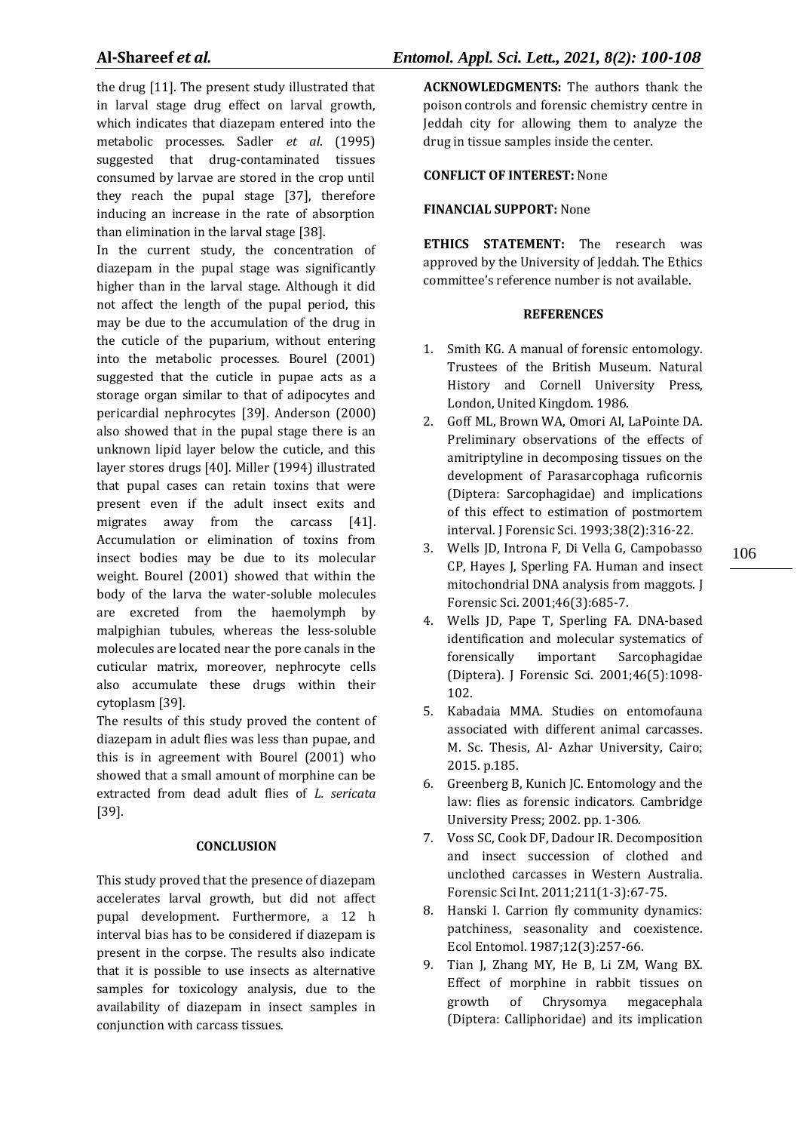the drug [11]. The present study illustrated that in larval stage drug effect on larval growth, which indicates that diazepam entered into the metabolic processes. Sadler *et al*. (1995) suggested that drug-contaminated tissues consumed by larvae are stored in the crop until they reach the pupal stage [37], therefore inducing an increase in the rate of absorption than elimination in the larval stage [38].

In the current study, the concentration of diazepam in the pupal stage was significantly higher than in the larval stage. Although it did not affect the length of the pupal period, this may be due to the accumulation of the drug in the cuticle of the puparium, without entering into the metabolic processes. Bourel (2001) suggested that the cuticle in pupae acts as a storage organ similar to that of adipocytes and pericardial nephrocytes [39]. Anderson (2000) also showed that in the pupal stage there is an unknown lipid layer below the cuticle, and this layer stores drugs [40]. Miller (1994) illustrated that pupal cases can retain toxins that were present even if the adult insect exits and migrates away from the carcass [41]. Accumulation or elimination of toxins from insect bodies may be due to its molecular weight. Bourel (2001) showed that within the body of the larva the water-soluble molecules are excreted from the haemolymph by malpighian tubules, whereas the less-soluble molecules are located near the pore canals in the cuticular matrix, moreover, nephrocyte cells also accumulate these drugs within their cytoplasm [39].

The results of this study proved the content of diazepam in adult flies was less than pupae, and this is in agreement with Bourel (2001) who showed that a small amount of morphine can be extracted from dead adult flies of *L. sericata* [39].

#### **CONCLUSION**

This study proved that the presence of diazepam accelerates larval growth, but did not affect pupal development. Furthermore, a 12 h interval bias has to be considered if diazepam is present in the corpse. The results also indicate that it is possible to use insects as alternative samples for toxicology analysis, due to the availability of diazepam in insect samples in conjunction with carcass tissues.

**ACKNOWLEDGMENTS:** The authors thank the poison controls and forensic chemistry centre in Jeddah city for allowing them to analyze the drug in tissue samples inside the center.

# **CONFLICT OF INTEREST:** None

# **FINANCIAL SUPPORT:** None

**ETHICS STATEMENT:** The research was approved by the University of Jeddah. The Ethics committee's reference number is not available.

#### **REFERENCES**

- 1. Smith KG. A manual of forensic entomology. Trustees of the British Museum. Natural History and Cornell University Press, London, United Kingdom. 1986.
- 2. Goff ML, Brown WA, Omori AI, LaPointe DA. Preliminary observations of the effects of amitriptyline in decomposing tissues on the development of Parasarcophaga ruficornis (Diptera: Sarcophagidae) and implications of this effect to estimation of postmortem interval. J Forensic Sci. 1993;38(2):316-22.
- 3. Wells JD, Introna F, Di Vella G, Campobasso CP, Hayes J, Sperling FA. Human and insect mitochondrial DNA analysis from maggots. J Forensic Sci. 2001;46(3):685-7.
- 4. Wells JD, Pape T, Sperling FA. DNA-based identification and molecular systematics of forensically important Sarcophagidae (Diptera). J Forensic Sci. 2001;46(5):1098- 102.
- 5. Kabadaia MMA. Studies on entomofauna associated with different animal carcasses. M. Sc. Thesis, Al- Azhar University, Cairo; 2015. p.185.
- 6. Greenberg B, Kunich JC. Entomology and the law: flies as forensic indicators. Cambridge University Press; 2002. pp. 1-306.
- 7. Voss SC, Cook DF, Dadour IR. Decomposition and insect succession of clothed and unclothed carcasses in Western Australia. Forensic Sci Int. 2011;211(1-3):67-75.
- 8. Hanski I. Carrion fly community dynamics: patchiness, seasonality and coexistence. Ecol Entomol. 1987;12(3):257-66.
- 9. Tian J, Zhang MY, He B, Li ZM, Wang BX. Effect of morphine in rabbit tissues on growth of Chrysomya megacephala (Diptera: Calliphoridae) and its implication

106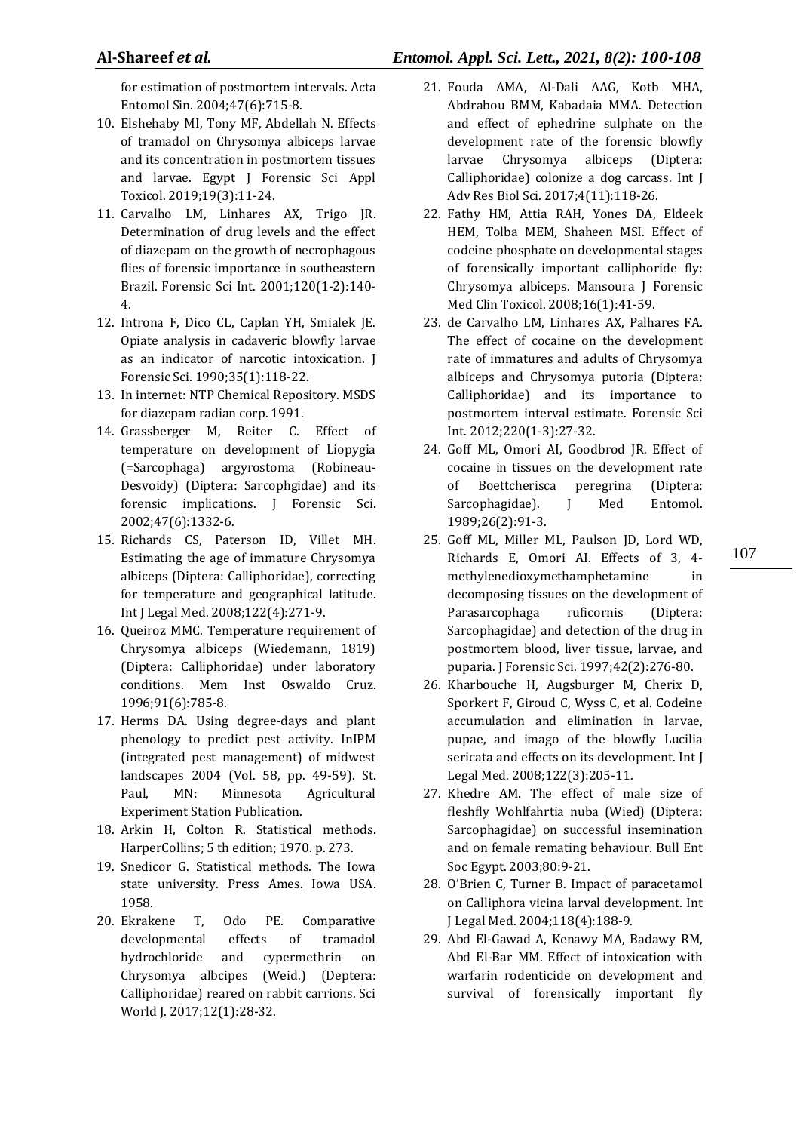for estimation of postmortem intervals. Acta Entomol Sin. 2004;47(6):715-8.

- 10. Elshehaby MI, Tony MF, Abdellah N. Effects of tramadol on Chrysomya albiceps larvae and its concentration in postmortem tissues and larvae. Egypt J Forensic Sci Appl Toxicol. 2019;19(3):11-24.
- 11. Carvalho LM, Linhares AX, Trigo JR. Determination of drug levels and the effect of diazepam on the growth of necrophagous flies of forensic importance in southeastern Brazil. Forensic Sci Int. 2001;120(1-2):140- 4.
- 12. Introna F, Dico CL, Caplan YH, Smialek JE. Opiate analysis in cadaveric blowfly larvae as an indicator of narcotic intoxication. J Forensic Sci. 1990;35(1):118-22.
- 13. In internet: NTP Chemical Repository. MSDS for diazepam radian corp. 1991.
- 14. Grassberger M, Reiter C. Effect of temperature on development of Liopygia (=Sarcophaga) argyrostoma (Robineau-Desvoidy) (Diptera: Sarcophgidae) and its forensic implications. J Forensic Sci. 2002;47(6):1332-6.
- 15. Richards CS, Paterson ID, Villet MH. Estimating the age of immature Chrysomya albiceps (Diptera: Calliphoridae), correcting for temperature and geographical latitude. Int J Legal Med. 2008;122(4):271-9.
- 16. Queiroz MMC. Temperature requirement of Chrysomya albiceps (Wiedemann, 1819) (Diptera: Calliphoridae) under laboratory conditions. Mem Inst Oswaldo Cruz. 1996;91(6):785-8.
- 17. Herms DA. Using degree-days and plant phenology to predict pest activity. InIPM (integrated pest management) of midwest landscapes 2004 (Vol. 58, pp. 49-59). St. Paul, MN: Minnesota Agricultural Experiment Station Publication.
- 18. Arkin H, Colton R. Statistical methods. HarperCollins; 5 th edition; 1970. p. 273.
- 19. Snedicor G. Statistical methods. The Iowa state university. Press Ames. Iowa USA. 1958.
- 20. Ekrakene T, Odo PE. Comparative developmental effects of tramadol hydrochloride and cypermethrin on Chrysomya albcipes (Weid.) (Deptera: Calliphoridae) reared on rabbit carrions. Sci World J. 2017;12(1):28-32.
- **Al-Shareef** *et al.**Entomol. Appl. Sci. Lett., 2021, 8(2): 100-108*
	- 21. Fouda AMA, Al-Dali AAG, Kotb MHA, Abdrabou BMM, Kabadaia MMA. Detection and effect of ephedrine sulphate on the development rate of the forensic blowfly larvae Chrysomya albiceps (Diptera: Calliphoridae) colonize a dog carcass. Int J Adv Res Biol Sci. 2017;4(11):118-26.
	- 22. Fathy HM, Attia RAH, Yones DA, Eldeek HEM, Tolba MEM, Shaheen MSI. Effect of codeine phosphate on developmental stages of forensically important calliphoride fly: Chrysomya albiceps. Mansoura J Forensic Med Clin Toxicol. 2008;16(1):41-59.
	- 23. de Carvalho LM, Linhares AX, Palhares FA. The effect of cocaine on the development rate of immatures and adults of Chrysomya albiceps and Chrysomya putoria (Diptera: Calliphoridae) and its importance to postmortem interval estimate. Forensic Sci Int. 2012;220(1-3):27-32.
	- 24. Goff ML, Omori AI, Goodbrod JR. Effect of cocaine in tissues on the development rate of Boettcherisca peregrina (Diptera: Sarcophagidae). J Med Entomol. 1989;26(2):91-3.
	- 25. Goff ML, Miller ML, Paulson JD, Lord WD, Richards E, Omori AI. Effects of 3, 4 methylenedioxymethamphetamine in decomposing tissues on the development of Parasarcophaga ruficornis (Diptera: Sarcophagidae) and detection of the drug in postmortem blood, liver tissue, larvae, and puparia. J Forensic Sci. 1997;42(2):276-80.
	- 26. Kharbouche H, Augsburger M, Cherix D, Sporkert F, Giroud C, Wyss C, et al. Codeine accumulation and elimination in larvae, pupae, and imago of the blowfly Lucilia sericata and effects on its development. Int J Legal Med. 2008;122(3):205-11.
	- 27. Khedre AM. The effect of male size of fleshfly Wohlfahrtia nuba (Wied) (Diptera: Sarcophagidae) on successful insemination and on female remating behaviour. Bull Ent Soc Egypt. 2003;80:9-21.
	- 28. O'Brien C, Turner B. Impact of paracetamol on Calliphora vicina larval development. Int J Legal Med. 2004;118(4):188-9.
	- 29. Abd El-Gawad A, Kenawy MA, Badawy RM, Abd El-Bar MM. Effect of intoxication with warfarin rodenticide on development and survival of forensically important fly